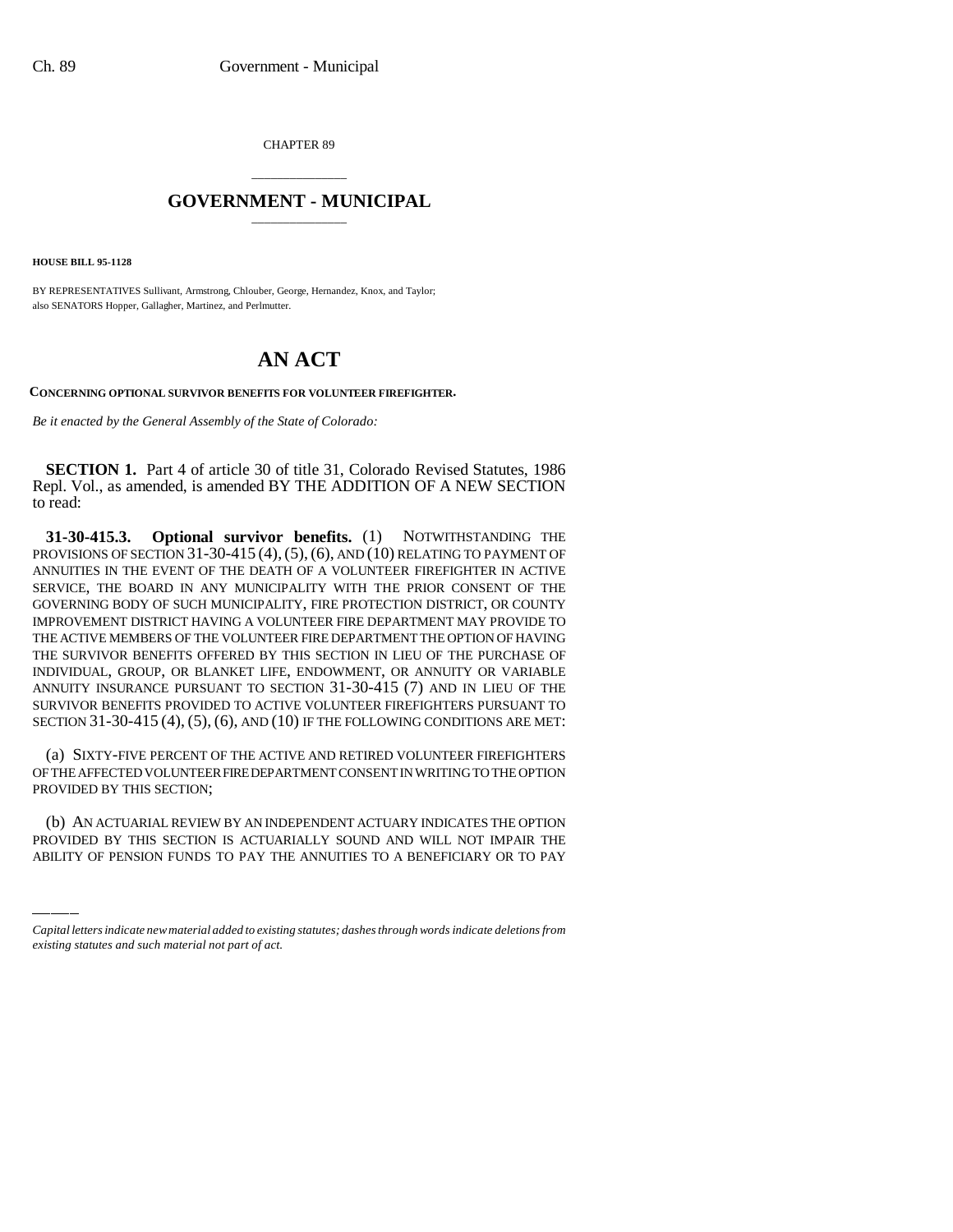CHAPTER 89

## \_\_\_\_\_\_\_\_\_\_\_\_\_\_\_ **GOVERNMENT - MUNICIPAL** \_\_\_\_\_\_\_\_\_\_\_\_\_\_\_

**HOUSE BILL 95-1128**

BY REPRESENTATIVES Sullivant, Armstrong, Chlouber, George, Hernandez, Knox, and Taylor; also SENATORS Hopper, Gallagher, Martinez, and Perlmutter.

## **AN ACT**

**CONCERNING OPTIONAL SURVIVOR BENEFITS FOR VOLUNTEER FIREFIGHTER.**

*Be it enacted by the General Assembly of the State of Colorado:*

**SECTION 1.** Part 4 of article 30 of title 31, Colorado Revised Statutes, 1986 Repl. Vol., as amended, is amended BY THE ADDITION OF A NEW SECTION to read:

**31-30-415.3. Optional survivor benefits.** (1) NOTWITHSTANDING THE PROVISIONS OF SECTION 31-30-415 (4),(5),(6), AND (10) RELATING TO PAYMENT OF ANNUITIES IN THE EVENT OF THE DEATH OF A VOLUNTEER FIREFIGHTER IN ACTIVE SERVICE, THE BOARD IN ANY MUNICIPALITY WITH THE PRIOR CONSENT OF THE GOVERNING BODY OF SUCH MUNICIPALITY, FIRE PROTECTION DISTRICT, OR COUNTY IMPROVEMENT DISTRICT HAVING A VOLUNTEER FIRE DEPARTMENT MAY PROVIDE TO THE ACTIVE MEMBERS OF THE VOLUNTEER FIRE DEPARTMENT THE OPTION OF HAVING THE SURVIVOR BENEFITS OFFERED BY THIS SECTION IN LIEU OF THE PURCHASE OF INDIVIDUAL, GROUP, OR BLANKET LIFE, ENDOWMENT, OR ANNUITY OR VARIABLE ANNUITY INSURANCE PURSUANT TO SECTION 31-30-415 (7) AND IN LIEU OF THE SURVIVOR BENEFITS PROVIDED TO ACTIVE VOLUNTEER FIREFIGHTERS PURSUANT TO SECTION  $31-30-415(4)$ ,  $(5)$ ,  $(6)$ , AND  $(10)$  IF THE FOLLOWING CONDITIONS ARE MET:

PROVIDED BY THIS SECTION; (a) SIXTY-FIVE PERCENT OF THE ACTIVE AND RETIRED VOLUNTEER FIREFIGHTERS OF THE AFFECTED VOLUNTEER FIRE DEPARTMENT CONSENT IN WRITING TO THE OPTION

(b) AN ACTUARIAL REVIEW BY AN INDEPENDENT ACTUARY INDICATES THE OPTION PROVIDED BY THIS SECTION IS ACTUARIALLY SOUND AND WILL NOT IMPAIR THE ABILITY OF PENSION FUNDS TO PAY THE ANNUITIES TO A BENEFICIARY OR TO PAY

*Capital letters indicate new material added to existing statutes; dashes through words indicate deletions from existing statutes and such material not part of act.*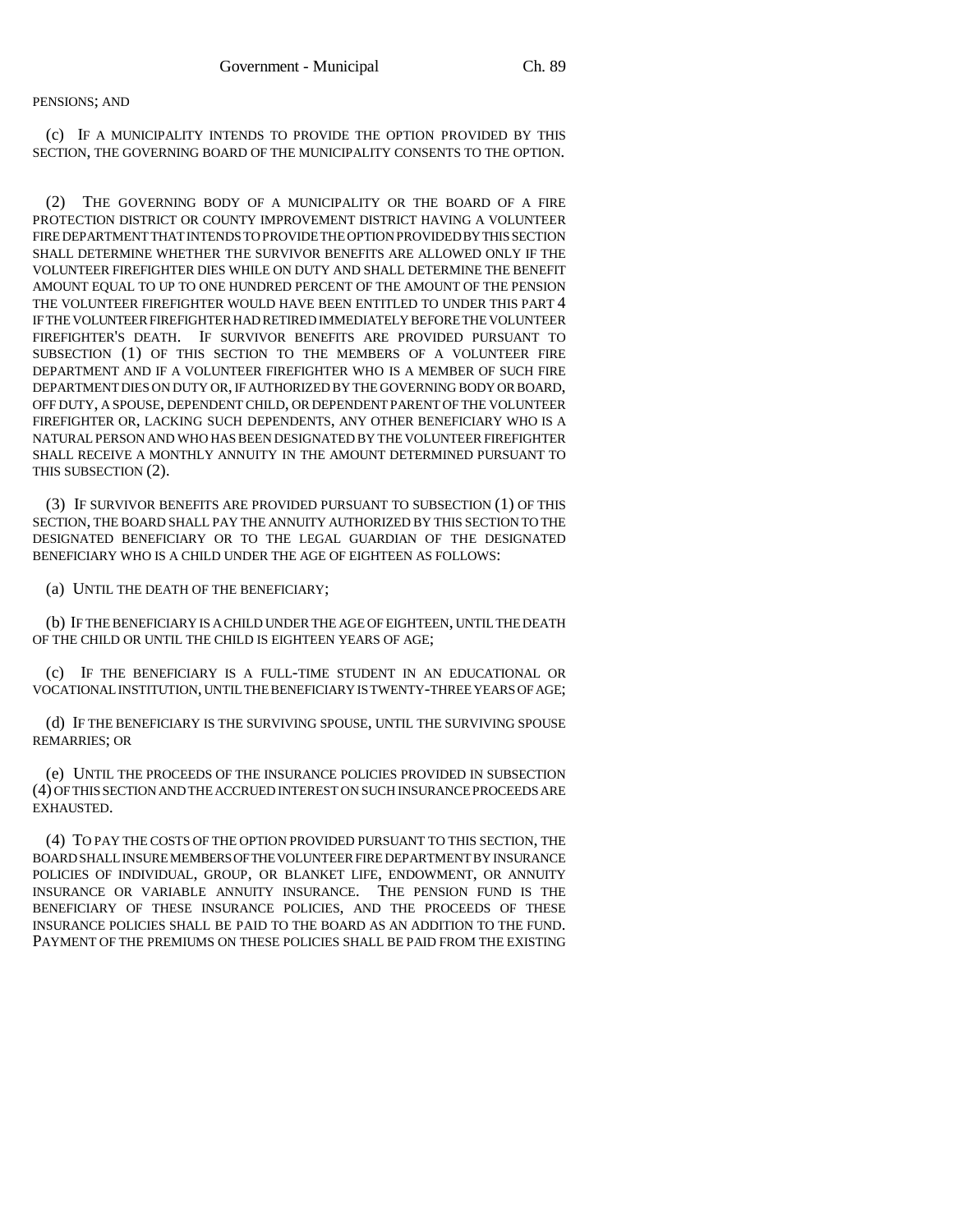## PENSIONS; AND

(c) IF A MUNICIPALITY INTENDS TO PROVIDE THE OPTION PROVIDED BY THIS SECTION, THE GOVERNING BOARD OF THE MUNICIPALITY CONSENTS TO THE OPTION.

(2) THE GOVERNING BODY OF A MUNICIPALITY OR THE BOARD OF A FIRE PROTECTION DISTRICT OR COUNTY IMPROVEMENT DISTRICT HAVING A VOLUNTEER FIRE DEPARTMENT THAT INTENDS TO PROVIDE THE OPTION PROVIDED BY THIS SECTION SHALL DETERMINE WHETHER THE SURVIVOR BENEFITS ARE ALLOWED ONLY IF THE VOLUNTEER FIREFIGHTER DIES WHILE ON DUTY AND SHALL DETERMINE THE BENEFIT AMOUNT EQUAL TO UP TO ONE HUNDRED PERCENT OF THE AMOUNT OF THE PENSION THE VOLUNTEER FIREFIGHTER WOULD HAVE BEEN ENTITLED TO UNDER THIS PART 4 IF THE VOLUNTEER FIREFIGHTER HAD RETIRED IMMEDIATELY BEFORE THE VOLUNTEER FIREFIGHTER'S DEATH. IF SURVIVOR BENEFITS ARE PROVIDED PURSUANT TO SUBSECTION (1) OF THIS SECTION TO THE MEMBERS OF A VOLUNTEER FIRE DEPARTMENT AND IF A VOLUNTEER FIREFIGHTER WHO IS A MEMBER OF SUCH FIRE DEPARTMENT DIES ON DUTY OR, IF AUTHORIZED BY THE GOVERNING BODY OR BOARD, OFF DUTY, A SPOUSE, DEPENDENT CHILD, OR DEPENDENT PARENT OF THE VOLUNTEER FIREFIGHTER OR, LACKING SUCH DEPENDENTS, ANY OTHER BENEFICIARY WHO IS A NATURAL PERSON AND WHO HAS BEEN DESIGNATED BY THE VOLUNTEER FIREFIGHTER SHALL RECEIVE A MONTHLY ANNUITY IN THE AMOUNT DETERMINED PURSUANT TO THIS SUBSECTION (2).

(3) IF SURVIVOR BENEFITS ARE PROVIDED PURSUANT TO SUBSECTION (1) OF THIS SECTION, THE BOARD SHALL PAY THE ANNUITY AUTHORIZED BY THIS SECTION TO THE DESIGNATED BENEFICIARY OR TO THE LEGAL GUARDIAN OF THE DESIGNATED BENEFICIARY WHO IS A CHILD UNDER THE AGE OF EIGHTEEN AS FOLLOWS:

(a) UNTIL THE DEATH OF THE BENEFICIARY;

(b) IF THE BENEFICIARY IS A CHILD UNDER THE AGE OF EIGHTEEN, UNTIL THE DEATH OF THE CHILD OR UNTIL THE CHILD IS EIGHTEEN YEARS OF AGE;

(c) IF THE BENEFICIARY IS A FULL-TIME STUDENT IN AN EDUCATIONAL OR VOCATIONAL INSTITUTION, UNTIL THE BENEFICIARY IS TWENTY-THREE YEARS OF AGE;

(d) IF THE BENEFICIARY IS THE SURVIVING SPOUSE, UNTIL THE SURVIVING SPOUSE REMARRIES; OR

(e) UNTIL THE PROCEEDS OF THE INSURANCE POLICIES PROVIDED IN SUBSECTION (4) OF THIS SECTION AND THE ACCRUED INTEREST ON SUCH INSURANCE PROCEEDS ARE EXHAUSTED.

(4) TO PAY THE COSTS OF THE OPTION PROVIDED PURSUANT TO THIS SECTION, THE BOARD SHALL INSURE MEMBERS OF THE VOLUNTEER FIRE DEPARTMENT BY INSURANCE POLICIES OF INDIVIDUAL, GROUP, OR BLANKET LIFE, ENDOWMENT, OR ANNUITY INSURANCE OR VARIABLE ANNUITY INSURANCE. THE PENSION FUND IS THE BENEFICIARY OF THESE INSURANCE POLICIES, AND THE PROCEEDS OF THESE INSURANCE POLICIES SHALL BE PAID TO THE BOARD AS AN ADDITION TO THE FUND. PAYMENT OF THE PREMIUMS ON THESE POLICIES SHALL BE PAID FROM THE EXISTING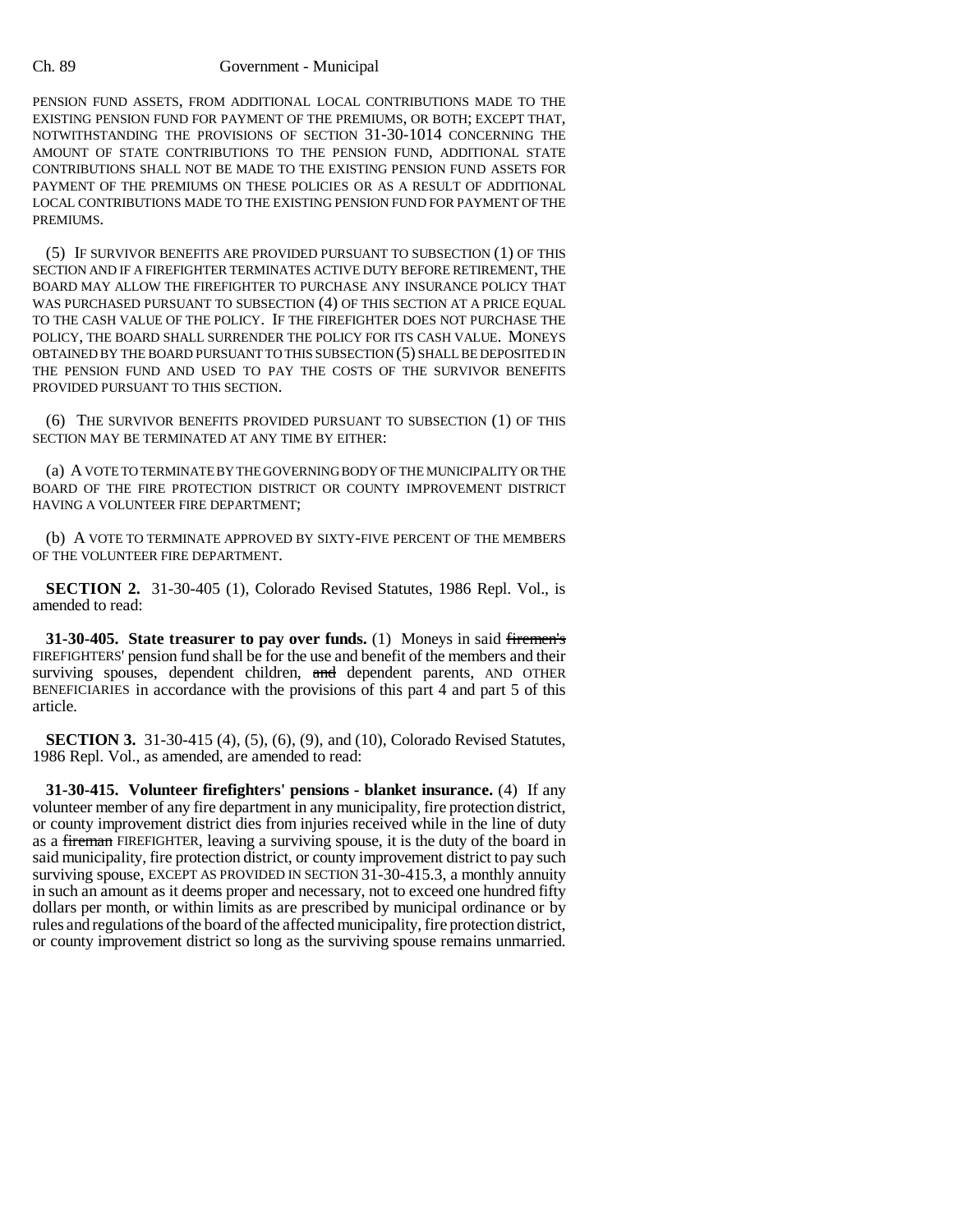## Ch. 89 Government - Municipal

PENSION FUND ASSETS, FROM ADDITIONAL LOCAL CONTRIBUTIONS MADE TO THE EXISTING PENSION FUND FOR PAYMENT OF THE PREMIUMS, OR BOTH; EXCEPT THAT, NOTWITHSTANDING THE PROVISIONS OF SECTION 31-30-1014 CONCERNING THE AMOUNT OF STATE CONTRIBUTIONS TO THE PENSION FUND, ADDITIONAL STATE CONTRIBUTIONS SHALL NOT BE MADE TO THE EXISTING PENSION FUND ASSETS FOR PAYMENT OF THE PREMIUMS ON THESE POLICIES OR AS A RESULT OF ADDITIONAL LOCAL CONTRIBUTIONS MADE TO THE EXISTING PENSION FUND FOR PAYMENT OF THE **PREMIUMS** 

(5) IF SURVIVOR BENEFITS ARE PROVIDED PURSUANT TO SUBSECTION (1) OF THIS SECTION AND IF A FIREFIGHTER TERMINATES ACTIVE DUTY BEFORE RETIREMENT, THE BOARD MAY ALLOW THE FIREFIGHTER TO PURCHASE ANY INSURANCE POLICY THAT WAS PURCHASED PURSUANT TO SUBSECTION (4) OF THIS SECTION AT A PRICE EQUAL TO THE CASH VALUE OF THE POLICY. IF THE FIREFIGHTER DOES NOT PURCHASE THE POLICY, THE BOARD SHALL SURRENDER THE POLICY FOR ITS CASH VALUE. MONEYS OBTAINED BY THE BOARD PURSUANT TO THIS SUBSECTION (5) SHALL BE DEPOSITED IN THE PENSION FUND AND USED TO PAY THE COSTS OF THE SURVIVOR BENEFITS PROVIDED PURSUANT TO THIS SECTION.

(6) THE SURVIVOR BENEFITS PROVIDED PURSUANT TO SUBSECTION (1) OF THIS SECTION MAY BE TERMINATED AT ANY TIME BY EITHER:

(a) A VOTE TO TERMINATE BY THE GOVERNING BODY OF THE MUNICIPALITY OR THE BOARD OF THE FIRE PROTECTION DISTRICT OR COUNTY IMPROVEMENT DISTRICT HAVING A VOLUNTEER FIRE DEPARTMENT;

(b) A VOTE TO TERMINATE APPROVED BY SIXTY-FIVE PERCENT OF THE MEMBERS OF THE VOLUNTEER FIRE DEPARTMENT.

**SECTION 2.** 31-30-405 (1), Colorado Revised Statutes, 1986 Repl. Vol., is amended to read:

**31-30-405. State treasurer to pay over funds.** (1) Moneys in said firemen's FIREFIGHTERS' pension fund shall be for the use and benefit of the members and their surviving spouses, dependent children, and dependent parents, AND OTHER BENEFICIARIES in accordance with the provisions of this part 4 and part 5 of this article.

**SECTION 3.** 31-30-415 (4), (5), (6), (9), and (10), Colorado Revised Statutes, 1986 Repl. Vol., as amended, are amended to read:

**31-30-415. Volunteer firefighters' pensions - blanket insurance.** (4) If any volunteer member of any fire department in any municipality, fire protection district, or county improvement district dies from injuries received while in the line of duty as a fireman FIREFIGHTER, leaving a surviving spouse, it is the duty of the board in said municipality, fire protection district, or county improvement district to pay such surviving spouse, EXCEPT AS PROVIDED IN SECTION 31-30-415.3, a monthly annuity in such an amount as it deems proper and necessary, not to exceed one hundred fifty dollars per month, or within limits as are prescribed by municipal ordinance or by rules and regulations of the board of the affected municipality, fire protection district, or county improvement district so long as the surviving spouse remains unmarried.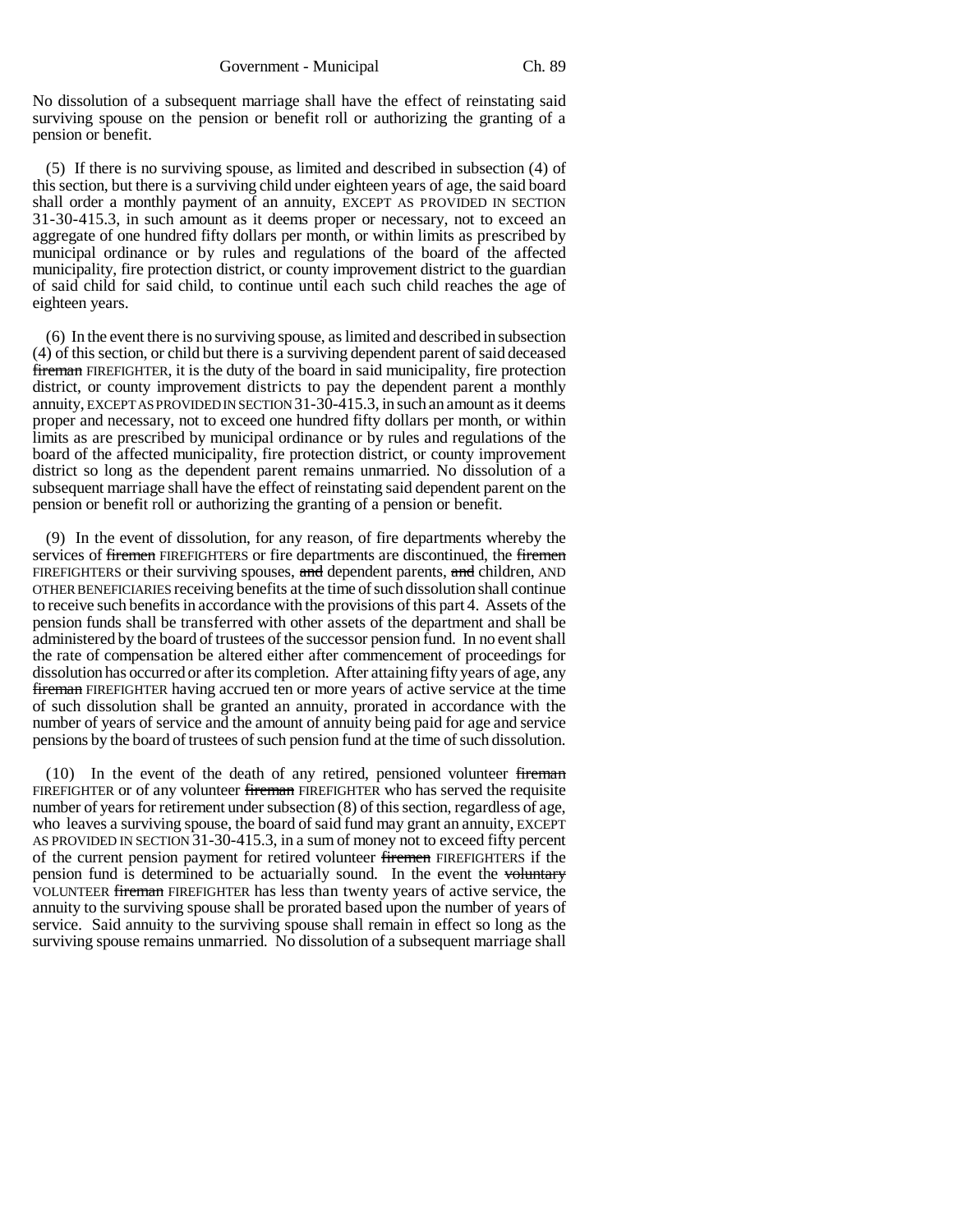No dissolution of a subsequent marriage shall have the effect of reinstating said surviving spouse on the pension or benefit roll or authorizing the granting of a pension or benefit.

(5) If there is no surviving spouse, as limited and described in subsection (4) of this section, but there is a surviving child under eighteen years of age, the said board shall order a monthly payment of an annuity, EXCEPT AS PROVIDED IN SECTION 31-30-415.3, in such amount as it deems proper or necessary, not to exceed an aggregate of one hundred fifty dollars per month, or within limits as prescribed by municipal ordinance or by rules and regulations of the board of the affected municipality, fire protection district, or county improvement district to the guardian of said child for said child, to continue until each such child reaches the age of eighteen years.

(6) In the event there is no surviving spouse, as limited and described in subsection (4) of this section, or child but there is a surviving dependent parent of said deceased fireman FIREFIGHTER, it is the duty of the board in said municipality, fire protection district, or county improvement districts to pay the dependent parent a monthly annuity, EXCEPT AS PROVIDED IN SECTION 31-30-415.3, in such an amount as it deems proper and necessary, not to exceed one hundred fifty dollars per month, or within limits as are prescribed by municipal ordinance or by rules and regulations of the board of the affected municipality, fire protection district, or county improvement district so long as the dependent parent remains unmarried. No dissolution of a subsequent marriage shall have the effect of reinstating said dependent parent on the pension or benefit roll or authorizing the granting of a pension or benefit.

(9) In the event of dissolution, for any reason, of fire departments whereby the services of firemen FIREFIGHTERS or fire departments are discontinued, the firemen FIREFIGHTERS or their surviving spouses, and dependent parents, and children, AND OTHER BENEFICIARIES receiving benefits at the time of such dissolution shall continue to receive such benefits in accordance with the provisions of this part 4. Assets of the pension funds shall be transferred with other assets of the department and shall be administered by the board of trustees of the successor pension fund. In no event shall the rate of compensation be altered either after commencement of proceedings for dissolution has occurred or after its completion. After attaining fifty years of age, any fireman FIREFIGHTER having accrued ten or more years of active service at the time of such dissolution shall be granted an annuity, prorated in accordance with the number of years of service and the amount of annuity being paid for age and service pensions by the board of trustees of such pension fund at the time of such dissolution.

(10) In the event of the death of any retired, pensioned volunteer fireman FIREFIGHTER or of any volunteer fireman FIREFIGHTER who has served the requisite number of years for retirement under subsection (8) of this section, regardless of age, who leaves a surviving spouse, the board of said fund may grant an annuity, EXCEPT AS PROVIDED IN SECTION 31-30-415.3, in a sum of money not to exceed fifty percent of the current pension payment for retired volunteer firemen FIREFIGHTERS if the pension fund is determined to be actuarially sound. In the event the voluntary VOLUNTEER fireman FIREFIGHTER has less than twenty years of active service, the annuity to the surviving spouse shall be prorated based upon the number of years of service. Said annuity to the surviving spouse shall remain in effect so long as the surviving spouse remains unmarried. No dissolution of a subsequent marriage shall